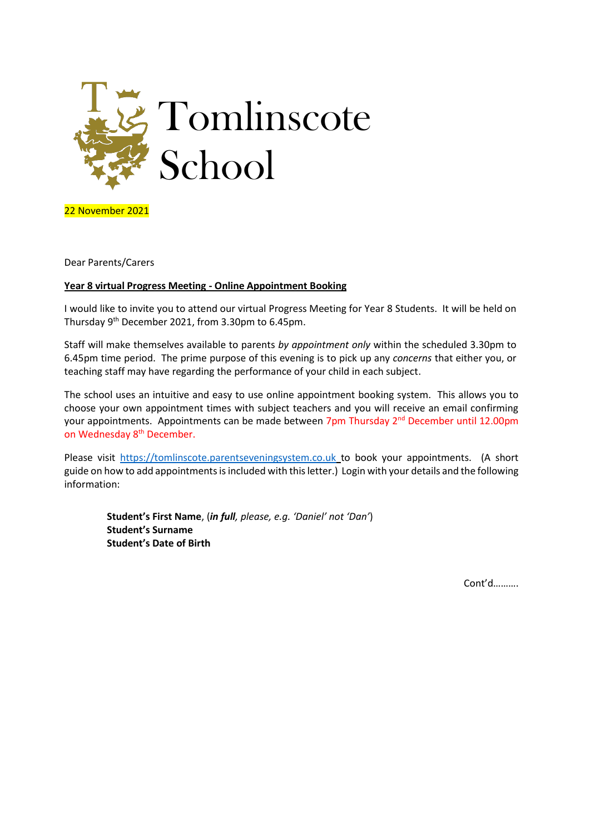

22 November 2021

Dear Parents/Carers

## **Year 8 virtual Progress Meeting - Online Appointment Booking**

I would like to invite you to attend our virtual Progress Meeting for Year 8 Students. It will be held on Thursday 9th December 2021, from 3.30pm to 6.45pm.

Staff will make themselves available to parents *by appointment only* within the scheduled 3.30pm to 6.45pm time period. The prime purpose of this evening is to pick up any *concerns* that either you, or teaching staff may have regarding the performance of your child in each subject.

The school uses an intuitive and easy to use online appointment booking system. This allows you to choose your own appointment times with subject teachers and you will receive an email confirming your appointments. Appointments can be made between 7pm Thursday 2<sup>nd</sup> December until 12.00pm on Wednesday 8<sup>th</sup> December.

Please visit [https://tomlinscote.parentseveningsystem.co.uk](https://tomlinscote.parentseveningsystem.co.uk/) to book your appointments. (A short guide on how to add appointments is included with this letter.) Login with your details and the following information:

**Student's First Name**, (*in full, please, e.g. 'Daniel' not 'Dan'*) **Student's Surname Student's Date of Birth**

Cont'd……….